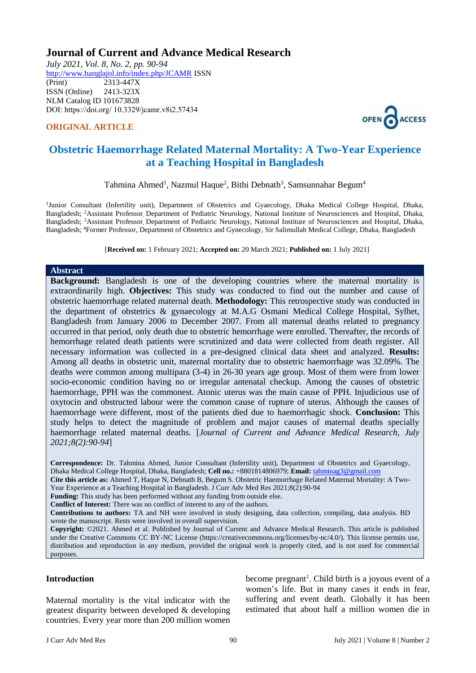# **Journal of Current and Advance Medical Research**

*July 2021, Vol. 8, No. 2, pp. 90-94* <http://www.banglajol.info/index.php/JCAMR>ISSN (Print) 2313-447X ISSN (Online) 2413-323X [NLM Catalog](https://www.ncbi.nlm.nih.gov/nlmcatalog/101673828) ID 101673828 DOI: https://doi.org/ 10.3329/jcamr.v8i2.57434

### **ORIGINAL ARTICLE**



# **Obstetric Haemorrhage Related Maternal Mortality: A Two-Year Experience at a Teaching Hospital in Bangladesh**

Tahmina Ahmed<sup>1</sup>, Nazmul Haque<sup>2</sup>, Bithi Debnath<sup>3</sup>, Samsunnahar Begum<sup>4</sup>

<sup>1</sup>Junior Consultant (Infertility unit), Department of Obstetrics and Gyaecology, Dhaka Medical College Hospital, Dhaka, Bangladesh; <sup>2</sup>Assistant Professor, Department of Pediatric Neurology, National Institute of Neurosciences and Hospital, Dhaka, Bangladesh; <sup>3</sup>Assistant Professor, Department of Pediatric Neurology, National Institute of Neurosciences and Hospital, Dhaka, Bangladesh; <sup>4</sup>Former Professor, Department of Obstetrics and Gynecology, Sir Salimullah Medical College, Dhaka, Bangladesh

[**Received on:** 1 February 2021; **Accepted on:** 20 March 2021; **Published on:** 1 July 2021]

#### **Abstract**

**Background:** Bangladesh is one of the developing countries where the maternal mortality is extraordinarily high. **Objectives:** This study was conducted to find out the number and cause of obstetric haemorrhage related maternal death. **Methodology:** This retrospective study was conducted in the department of obstetrics & gynaecology at M.A.G Osmani Medical College Hospital, Sylhet, Bangladesh from January 2006 to December 2007. From all maternal deaths related to pregnancy occurred in that period, only death due to obstetric hemorrhage were enrolled. Thereafter, the records of hemorrhage related death patients were scrutinized and data were collected from death register. All necessary information was collected in a pre-designed clinical data sheet and analyzed. **Results:** Among all deaths in obstetric unit, maternal mortality due to obstetric haemorrhage was 32.09%. The deaths were common among multipara (3-4) in 26-30 years age group. Most of them were from lower socio-economic condition having no or irregular antenatal checkup. Among the causes of obstetric haemorrhage, PPH was the commonest. Atonic uterus was the main cause of PPH. Injudicious use of oxytocin and obstructed labour were the common cause of rupture of uterus. Although the causes of haemorrhage were different, most of the patients died due to haemorrhagic shock. **Conclusion:** This study helps to detect the magnitude of problem and major causes of maternal deaths specially haemorrhage related maternal deaths. [*Journal of Current and Advance Medical Research, July 2021;8(2):90-94*]

**Correspondence:** Dr. Tahmina Ahmed, Junior Consultant (Infertility unit), Department of Obstetrics and Gyaecology, Dhaka Medical College Hospital, Dhaka, Bangladesh; **Cell no.:** +8801814806979; **Email:** [tahminag3@gmail.com](mailto:tahmiag3@gmail.com) **Cite this article as:** Ahmed T, Haque N, Debnath B, Begum S. Obstetric Haemorrhage Related Maternal Mortality: A Two-

Year Experience at a Teaching Hospital in Bangladesh. J Curr Adv Med Res 2021;8(2):90-94

**Funding:** This study has been performed without any funding from outside else.

**Conflict of Interest:** There was no conflict of interest to any of the authors.

**Contributions to authors:** TA and NH were involved in study designing, data collection, compiling, data analysis. BD wrote the manuscript. Rests were involved in overall supervision.

**Copyright:** ©2021. Ahmed et al. Published by Journal of Current and Advance Medical Research. This article is published under the Creative Commons CC BY-NC License (https://creativecommons.org/licenses/by-nc/4.0/). This license permits use, distribution and reproduction in any medium, provided the original work is properly cited, and is not used for commercial purposes.

#### **Introduction**

Maternal mortality is the vital indicator with the greatest disparity between developed & developing countries. Every year more than 200 million women

become pregnant<sup>1</sup>. Child birth is a joyous event of a women's life. But in many cases it ends in fear, suffering and event death. Globally it has been estimated that about half a million women die in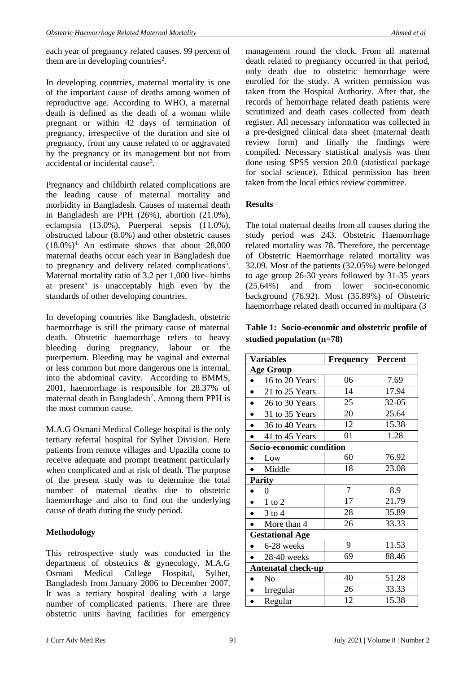each year of pregnancy related causes. 99 percent of them are in developing countries<sup>2</sup>.

In developing countries, maternal mortality is one of the important cause of deaths among women of reproductive age. According to WHO, a maternal death is defined as the death of a woman while pregnant or within 42 days of termination of pregnancy, irrespective of the duration and site of pregnancy, from any cause related to or aggravated by the pregnancy or its management but not from accidental or incidental cause<sup>3</sup>.

Pregnancy and childbirth related complications are the leading cause of maternal mortality and morbidity in Bangladesh. Causes of maternal death in Bangladesh are PPH (26%), abortion (21.0%), eclampsia (13.0%), Puerperal sepsis (11.0%), obstructed labour (8.0%) and other obstetric causes  $(18.0\%)$ <sup>4</sup>. An estimate shows that about 28,000 maternal deaths occur each year in Bangladesh due to pregnancy and delivery related complications<sup>5</sup>. Maternal mortality ratio of 3.2 per 1,000 live- births at present<sup>6</sup> is unacceptably high even by the standards of other developing countries.

In developing countries like Bangladesh, obstetric haemorrhage is still the primary cause of maternal death. Obstetric haemorrhage refers to heavy bleeding during pregnancy, labour or the puerperium. Bleeding may be vaginal and external or less common but more dangerous one is internal, into the abdominal cavity. According to BMMS, 2001, haemorrhage is responsible for 28.37% of maternal death in Bangladesh<sup>7</sup>. Among them PPH is the most common cause.

M.A.G Osmani Medical College hospital is the only tertiary referral hospital for Sylhet Division. Here patients from remote villages and Upazilla come to receive adequate and prompt treatment particularly when complicated and at risk of death. The purpose of the present study was to determine the total number of maternal deaths due to obstetric haemorrhage and also to find out the underlying cause of death during the study period.

## **Methodology**

This retrospective study was conducted in the department of obstetrics & gynecology, M.A.G Osmani Medical College Hospital, Sylhet, Bangladesh from January 2006 to December 2007. It was a tertiary hospital dealing with a large number of complicated patients. There are three obstetric units having facilities for emergency

management round the clock. From all maternal death related to pregnancy occurred in that period, only death due to obstetric hemorrhage were enrolled for the study. A written permission was taken from the Hospital Authority. After that, the records of hemorrhage related death patients were scrutinized and death cases collected from death register. All necessary information was collected in a pre-designed clinical data sheet (maternal death review form) and finally the findings were compiled. Necessary statistical analysis was then done using SPSS version 20.0 (statistical package for social science). Ethical permission has been taken from the local ethics review committee.

### **Results**

The total maternal deaths from all causes during the study period was 243. Obstetric Haemorrhage related mortality was 78. Therefore, the percentage of Obstetric Haemorrhage related mortality was 32.09. Most of the patients (32.05%) were belonged to age group 26-30 years followed by 31-35 years (25.64%) and from lower socio-economic background (76.92). Most (35.89%) of Obstetric haemorrhage related death occurred in multipara (3

### **Table 1: Socio-economic and obstetric profile of studied population (n=78)**

| <b>Variables</b>            | <b>Frequency</b> | Percent |  |  |
|-----------------------------|------------------|---------|--|--|
| <b>Age Group</b>            |                  |         |  |  |
| 16 to 20 Years              | 06               | 7.69    |  |  |
| 21 to 25 Years              | 14               | 17.94   |  |  |
| 26 to 30 Years<br>$\bullet$ | 25               | 32-05   |  |  |
| 31 to 35 Years              | 20               | 25.64   |  |  |
| 36 to 40 Years              | 12               | 15.38   |  |  |
| 41 to 45 Years              | 01               | 1.28    |  |  |
| Socio-economic condition    |                  |         |  |  |
| Low                         | 60               | 76.92   |  |  |
| Middle                      | 18               | 23.08   |  |  |
| <b>Parity</b>               |                  |         |  |  |
| $\theta$                    | $\overline{7}$   | 8.9     |  |  |
| $1$ to $2$<br>$\bullet$     | 17               | 21.79   |  |  |
| $3$ to $4$                  | 28               | 35.89   |  |  |
| More than 4                 | 26               | 33.33   |  |  |
| <b>Gestational Age</b>      |                  |         |  |  |
| 6-28 weeks                  | 9                | 11.53   |  |  |
| 28-40 weeks                 | 69               | 88.46   |  |  |
| <b>Antenatal check-up</b>   |                  |         |  |  |
| No                          | 40               | 51.28   |  |  |
| Irregular                   | 26               | 33.33   |  |  |
| Regular                     | 12               | 15.38   |  |  |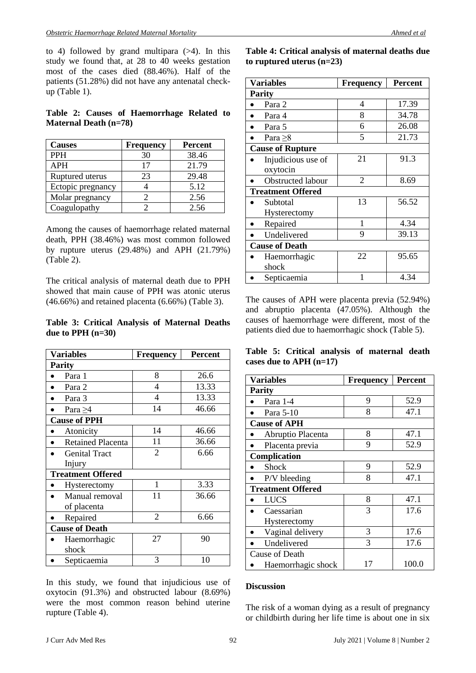to 4) followed by grand multipara  $(>4)$ . In this study we found that, at 28 to 40 weeks gestation most of the cases died (88.46%). Half of the patients (51.28%) did not have any antenatal checkup (Table 1).

### **Table 2: Causes of Haemorrhage Related to Maternal Death (n=78)**

| <b>Causes</b>     | <b>Frequency</b> | <b>Percent</b> |
|-------------------|------------------|----------------|
| <b>PPH</b>        | 30               | 38.46          |
| APH               | 17               | 21.79          |
| Ruptured uterus   | 23               | 29.48          |
| Ectopic pregnancy |                  | 5.12           |
| Molar pregnancy   |                  | 2.56           |
| Coagulopathy      |                  | 2.56           |

Among the causes of haemorrhage related maternal death, PPH (38.46%) was most common followed by rupture uterus (29.48%) and APH (21.79%) (Table 2).

The critical analysis of maternal death due to PPH showed that main cause of PPH was atonic uterus (46.66%) and retained placenta (6.66%) (Table 3).

### **Table 3: Critical Analysis of Maternal Deaths due to PPH (n=30)**

| <b>Variables</b>         | <b>Frequency</b> | <b>Percent</b> |  |  |
|--------------------------|------------------|----------------|--|--|
| <b>Parity</b>            |                  |                |  |  |
| Para 1                   | 8                | 26.6           |  |  |
| Para 2                   | 4                | 13.33          |  |  |
| Para 3                   | 4                | 13.33          |  |  |
| Para $\geq$ 4            | 14               | 46.66          |  |  |
| <b>Cause of PPH</b>      |                  |                |  |  |
| Atonicity                | 14               | 46.66          |  |  |
| <b>Retained Placenta</b> | 11               | 36.66          |  |  |
| <b>Genital Tract</b>     | $\overline{2}$   | 6.66           |  |  |
| Injury                   |                  |                |  |  |
| <b>Treatment Offered</b> |                  |                |  |  |
| Hysterectomy             | 1                | 3.33           |  |  |
| Manual removal           | 11               | 36.66          |  |  |
| of placenta              |                  |                |  |  |
| Repaired                 | $\overline{2}$   | 6.66           |  |  |
| <b>Cause of Death</b>    |                  |                |  |  |
| Haemorrhagic             | 27               | 90             |  |  |
| shock                    |                  |                |  |  |
| Septicaemia              | 3                | 10             |  |  |

In this study, we found that injudicious use of oxytocin (91.3%) and obstructed labour (8.69%) were the most common reason behind uterine rupture (Table 4).

**Table 4: Critical analysis of maternal deaths due to ruptured uterus (n=23)**

| <b>Variables</b>         | <b>Frequency</b> | <b>Percent</b> |  |  |
|--------------------------|------------------|----------------|--|--|
| <b>Parity</b>            |                  |                |  |  |
| Para 2                   | 4                | 17.39          |  |  |
| Para 4                   | 8                | 34.78          |  |  |
| Para 5                   | 6                | 26.08          |  |  |
| Para $\geq 8$            | 5                | 21.73          |  |  |
| <b>Cause of Rupture</b>  |                  |                |  |  |
| Injudicious use of       | 21               | 91.3           |  |  |
| oxytocin                 |                  |                |  |  |
| Obstructed labour        | $\mathfrak{D}$   | 8.69           |  |  |
| <b>Treatment Offered</b> |                  |                |  |  |
| Subtotal                 | 13               | 56.52          |  |  |
| Hysterectomy             |                  |                |  |  |
| Repaired                 | 1                | 4.34           |  |  |
| Undelivered              | 9                | 39.13          |  |  |
| <b>Cause of Death</b>    |                  |                |  |  |
| Haemorrhagic             | 22               | 95.65          |  |  |
| shock                    |                  |                |  |  |
| Septicaemia              | 1                | 4.34           |  |  |

The causes of APH were placenta previa (52.94%) and abruptio placenta (47.05%). Although the causes of haemorrhage were different, most of the patients died due to haemorrhagic shock (Table 5).

**Table 5: Critical analysis of maternal death cases due to APH (n=17)**

| <b>Variables</b>         | <b>Frequency</b> | <b>Percent</b> |  |
|--------------------------|------------------|----------------|--|
| <b>Parity</b>            |                  |                |  |
| Para 1-4                 | 9                | 52.9           |  |
| Para 5-10                | 8                | 47.1           |  |
| <b>Cause of APH</b>      |                  |                |  |
| Abruptio Placenta        | 8                | 47.1           |  |
| Placenta previa          | 9                | 52.9           |  |
| Complication             |                  |                |  |
| <b>Shock</b>             | 9                | 52.9           |  |
| P/V bleeding             | 8                | 47.1           |  |
| <b>Treatment Offered</b> |                  |                |  |
| <b>LUCS</b>              | 8                | 47.1           |  |
| Caessarian               | 3                | 17.6           |  |
| <b>Hysterectomy</b>      |                  |                |  |
| Vaginal delivery         | 3                | 17.6           |  |
| Undelivered              | 3                | 17.6           |  |
| Cause of Death           |                  |                |  |
| Haemorrhagic shock       | 17               | 100.0          |  |

#### **Discussion**

The risk of a woman dying as a result of pregnancy or childbirth during her life time is about one in six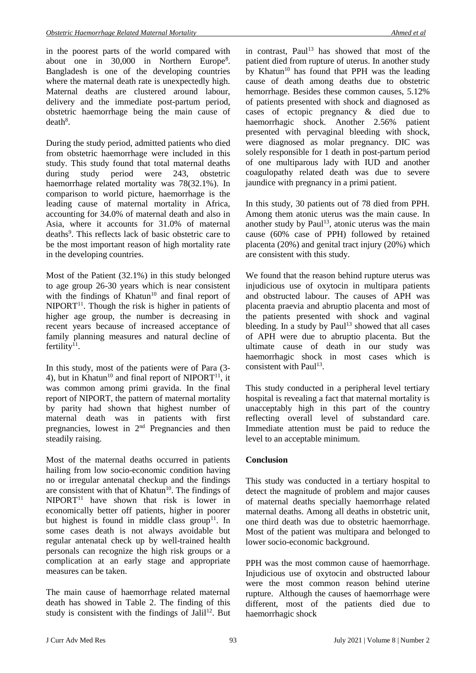in the poorest parts of the world compared with about one in  $30,000$  in Northern Europe<sup>8</sup>. Bangladesh is one of the developing countries where the maternal death rate is unexpectedly high. Maternal deaths are clustered around labour, delivery and the immediate post-partum period, obstetric haemorrhage being the main cause of  $death<sup>8</sup>$ .

During the study period, admitted patients who died from obstetric haemorrhage were included in this study. This study found that total maternal deaths during study period were 243, obstetric haemorrhage related mortality was 78(32.1%). In comparison to world picture, haemorrhage is the leading cause of maternal mortality in Africa, accounting for 34.0% of maternal death and also in Asia, where it accounts for 31.0% of maternal deaths<sup>9</sup>. This reflects lack of basic obstetric care to be the most important reason of high mortality rate in the developing countries.

Most of the Patient (32.1%) in this study belonged to age group 26-30 years which is near consistent with the findings of Khatun<sup>10</sup> and final report of  $NIPORT<sup>11</sup>$ . Though the risk is higher in patients of higher age group, the number is decreasing in recent years because of increased acceptance of family planning measures and natural decline of fertility $11$ .

In this study, most of the patients were of Para (3- 4), but in Khatun<sup>10</sup> and final report of NIPORT<sup>11</sup>, it was common among primi gravida. In the final report of NIPORT, the pattern of maternal mortality by parity had shown that highest number of maternal death was in patients with first pregnancies, lowest in 2nd Pregnancies and then steadily raising.

Most of the maternal deaths occurred in patients hailing from low socio-economic condition having no or irregular antenatal checkup and the findings are consistent with that of Khatun $10$ . The findings of  $NIPORT<sup>11</sup>$  have shown that risk is lower in economically better off patients, higher in poorer but highest is found in middle class group<sup>11</sup>. In some cases death is not always avoidable but regular antenatal check up by well-trained health personals can recognize the high risk groups or a complication at an early stage and appropriate measures can be taken.

The main cause of haemorrhage related maternal death has showed in Table 2. The finding of this study is consistent with the findings of Jalil<sup>12</sup>. But

in contrast, Paul<sup>13</sup> has showed that most of the patient died from rupture of uterus. In another study by Khatun<sup>10</sup> has found that PPH was the leading cause of death among deaths due to obstetric hemorrhage. Besides these common causes, 5.12% of patients presented with shock and diagnosed as cases of ectopic pregnancy & died due to haemorrhagic shock. Another 2.56% patient presented with pervaginal bleeding with shock, were diagnosed as molar pregnancy. DIC was solely responsible for 1 death in post-partum period of one multiparous lady with IUD and another coagulopathy related death was due to severe jaundice with pregnancy in a primi patient.

In this study, 30 patients out of 78 died from PPH. Among them atonic uterus was the main cause. In another study by Paul<sup>13</sup>, atonic uterus was the main cause (60% case of PPH) followed by retained placenta (20%) and genital tract injury (20%) which are consistent with this study.

We found that the reason behind rupture uterus was injudicious use of oxytocin in multipara patients and obstructed labour. The causes of APH was placenta praevia and abruptio placenta and most of the patients presented with shock and vaginal bleeding. In a study by  $Paul<sup>13</sup>$  showed that all cases of APH were due to abruptio placenta. But the ultimate cause of death in our study was haemorrhagic shock in most cases which is consistent with Paul<sup>13</sup>.

This study conducted in a peripheral level tertiary hospital is revealing a fact that maternal mortality is unacceptably high in this part of the country reflecting overall level of substandard care. Immediate attention must be paid to reduce the level to an acceptable minimum.

## **Conclusion**

This study was conducted in a tertiary hospital to detect the magnitude of problem and major causes of maternal deaths specially haemorrhage related maternal deaths. Among all deaths in obstetric unit, one third death was due to obstetric haemorrhage. Most of the patient was multipara and belonged to lower socio-economic background.

PPH was the most common cause of haemorrhage. Injudicious use of oxytocin and obstructed labour were the most common reason behind uterine rupture. Although the causes of haemorrhage were different, most of the patients died due to haemorrhagic shock